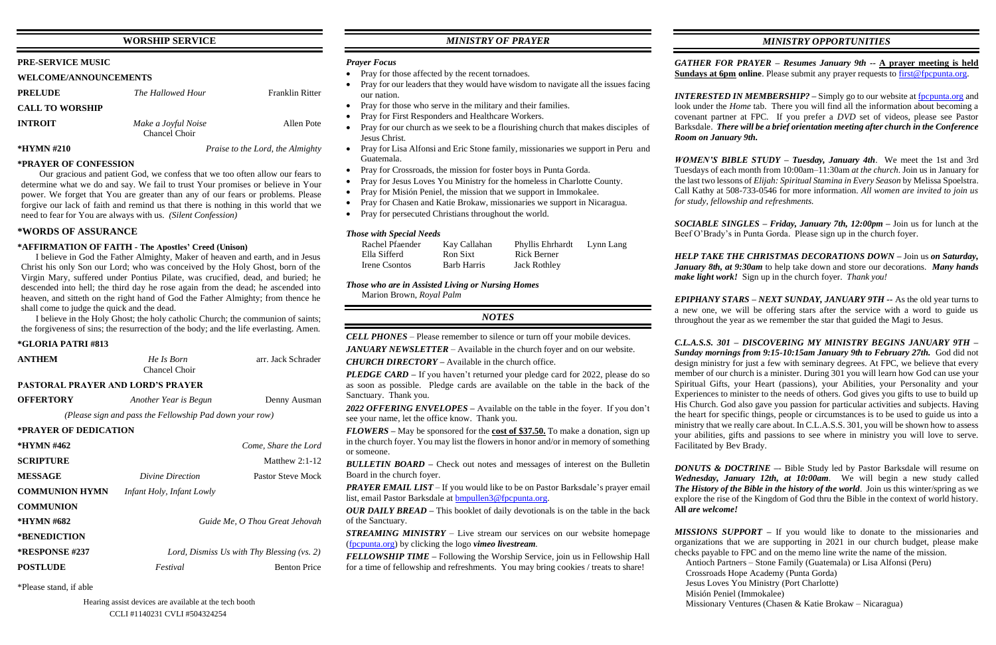## **WORSHIP SERVICE**

## **PRE-SERVICE MUSIC**

### **WELCOME/ANNOUNCEMENTS**

| <b>PRELUDE</b>         | The Hallowed Hour                    | <b>Franklin Ritter</b> |
|------------------------|--------------------------------------|------------------------|
| <b>CALL TO WORSHIP</b> |                                      |                        |
| <b>INTROIT</b>         | Make a Joyful Noise<br>Chancel Choir | Allen Pote             |
| *HYMN #210             | Praise to the Lord, the Almighty     |                        |

### **\*PRAYER OF CONFESSION**

Our gracious and patient God, we confess that we too often allow our fears to determine what we do and say. We fail to trust Your promises or believe in Your power. We forget that You are greater than any of our fears or problems. Please forgive our lack of faith and remind us that there is nothing in this world that we need to fear for You are always with us. *(Silent Confession)*

### **\*WORDS OF ASSURANCE**

| <b>ANTHEM</b>                                           | He Is Born<br>Chancel Choir                | arr. Jack Schrader   |  |  |  |
|---------------------------------------------------------|--------------------------------------------|----------------------|--|--|--|
| <b>PASTORAL PRAYER AND LORD'S PRAYER</b>                |                                            |                      |  |  |  |
| <b>OFFERTORY</b>                                        | Another Year is Begun                      | Denny Ausman         |  |  |  |
| (Please sign and pass the Fellowship Pad down your row) |                                            |                      |  |  |  |
| *PRAYER OF DEDICATION                                   |                                            |                      |  |  |  |
| *HYMN #462                                              |                                            | Come, Share the Lord |  |  |  |
| <b>SCRIPTURE</b>                                        |                                            | Matthew $2:1-12$     |  |  |  |
| <b>MESSAGE</b>                                          | Divine Direction                           | Pastor Steve Mock    |  |  |  |
| <b>COMMUNION HYMN</b>                                   | <i>Infant Holy, Infant Lowly</i>           |                      |  |  |  |
| <b>COMMUNION</b>                                        |                                            |                      |  |  |  |
| *HYMN #682                                              | Guide Me, O Thou Great Jehovah             |                      |  |  |  |
| *BENEDICTION                                            |                                            |                      |  |  |  |
| <b>*RESPONSE #237</b>                                   | Lord, Dismiss Us with Thy Blessing (vs. 2) |                      |  |  |  |
| <b>POSTLUDE</b>                                         | Festival                                   | <b>Benton Price</b>  |  |  |  |

## **\*AFFIRMATION OF FAITH - The Apostles' Creed (Unison)**

I believe in God the Father Almighty, Maker of heaven and earth, and in Jesus Christ his only Son our Lord; who was conceived by the Holy Ghost, born of the Virgin Mary, suffered under Pontius Pilate, was crucified, dead, and buried; he descended into hell; the third day he rose again from the dead; he ascended into heaven, and sitteth on the right hand of God the Father Almighty; from thence he shall come to judge the quick and the dead.

I believe in the Holy Ghost; the holy catholic Church; the communion of saints; the forgiveness of sins; the resurrection of the body; and the life everlasting. Amen.

### **\*GLORIA PATRI #813**

*PLEDGE CARD –* If you haven't returned your pledge card for 2022, please do so as soon as possible. Pledge cards are available on the table in the back of the Sanctuary. Thank you.

\*Please stand, if able

## *MINISTRY OF PRAYER*

*PRAYER EMAIL LIST* – If you would like to be on Pastor Barksdale's prayer email list, email Pastor Barksdale at [bmpullen3@fpcpunta.org.](about:blank)

### *Prayer Focus*

- Pray for those affected by the recent tornadoes.
- Pray for our leaders that they would have wisdom to navigate all the issues facing our nation.
- Pray for those who serve in the military and their families.
- Pray for First Responders and Healthcare Workers.
- Pray for our church as we seek to be a flourishing church that makes disciples of Jesus Christ.
- Pray for Lisa Alfonsi and Eric Stone family, missionaries we support in Peru and Guatemala.
- Pray for Crossroads, the mission for foster boys in Punta Gorda.
- Pray for Jesus Loves You Ministry for the homeless in Charlotte County.
- Pray for Misión Peniel, the mission that we support in Immokalee.
- Pray for Chasen and Katie Brokaw, missionaries we support in Nicaragua.
- Pray for persecuted Christians throughout the world.

*GATHER FOR PRAYER – Resumes January 9th --* **A prayer meeting is held Sundays at 6pm online**. Please submit any prayer requests to [first@fpcpunta.org.](about:blank)

*INTERESTED IN MEMBERSHIP*? – Simply go to our website at [fpcpunta.org](about:blank) and look under the *Home* tab. There you will find all the information about becoming a covenant partner at FPC. If you prefer a *DVD* set of videos, please see Pastor Barksdale. *There will be a brief orientation meeting after church in the Conference Room on January 9th.*

### *Those with Special Needs*

| Rachel Pfaender | Kay Callahan | Phyllis Ehrhardt    | Lynn Lang |
|-----------------|--------------|---------------------|-----------|
| Ella Sifferd    | Ron Sixt     | Rick Berner         |           |
| Irene Csontos   | Barb Harris  | <b>Jack Rothley</b> |           |

*Those who are in Assisted Living or Nursing Homes*

Marion Brown, *Royal Palm*

## *NOTES*

*CELL PHONES –* Please remember to silence or turn off your mobile devices.

*JANUARY NEWSLETTER –* Available in the church foyer and on our website.

*CHURCH DIRECTORY –* Available in the church office.

*2022 OFFERING ENVELOPES –* Available on the table in the foyer. If you don't see your name, let the office know. Thank you.

*FLOWERS –* May be sponsored for the **cost of \$37.50.** To make a donation, sign up in the church foyer. You may list the flowers in honor and/or in memory of something or someone.

*BULLETIN BOARD –* Check out notes and messages of interest on the Bulletin Board in the church foyer.

*OUR DAILY BREAD –* This booklet of daily devotionals is on the table in the back of the Sanctuary.

*STREAMING MINISTRY –* Live stream our services on our website homepage [\(fpcpunta.org\)](about:blank) by clicking the logo *vimeo livestream.*

*FELLOWSHIP TIME –* Following the Worship Service, join us in Fellowship Hall for a time of fellowship and refreshments. You may bring cookies / treats to share!

## *MINISTRY OPPORTUNITIES*

*WOMEN'S BIBLE STUDY – Tuesday, January 4th*. We meet the 1st and 3rd Tuesdays of each month from 10:00am–11:30am *at the church*. Join us in January for the last two lessons of *Elijah: Spiritual Stamina in Every Season* by Melissa Spoelstra. Call Kathy at 508-733-0546 for more information. *All women are invited to join us for study, fellowship and refreshments.*

*SOCIABLE SINGLES – Friday, January 7th, 12:00pm –* Join us for lunch at the Beef O'Brady's in Punta Gorda. Please sign up in the church foyer.

*HELP TAKE THE CHRISTMAS DECORATIONS DOWN –* Join us *on Saturday, January 8th, at 9:30am* to help take down and store our decorations. *Many hands make light work!* Sign up in the church foyer. *Thank you!*

*EPIPHANY STARS – NEXT SUNDAY, JANUARY 9TH --* As the old year turns to a new one, we will be offering stars after the service with a word to guide us throughout the year as we remember the star that guided the Magi to Jesus.

*C.L.A.S.S. 301 – DISCOVERING MY MINISTRY BEGINS JANUARY 9TH – Sunday mornings from 9:15-10:15am January 9th to February 27th.* God did not design ministry for just a few with seminary degrees. At FPC, we believe that every member of our church is a minister. During 301 you will learn how God can use your Spiritual Gifts, your Heart (passions), your Abilities, your Personality and your Experiences to minister to the needs of others. God gives you gifts to use to build up His Church. God also gave you passion for particular activities and subjects. Having the heart for specific things, people or circumstances is to be used to guide us into a ministry that we really care about. In C.L.A.S.S. 301, you will be shown how to assess your abilities, gifts and passions to see where in ministry you will love to serve. Facilitated by Bev Brady.

*DONUTS & DOCTRINE –*- Bible Study led by Pastor Barksdale will resume on *Wednesday, January 12th, at 10:00am*. We will begin a new study called *The History of the Bible in the history of the world*. Join us this winter/spring as we explore the rise of the Kingdom of God thru the Bible in the context of world history. **All** *are welcome!*

*MISSIONS SUPPORT –* If you would like to donate to the missionaries and organizations that we are supporting in 2021 in our church budget, please make checks payable to FPC and on the memo line write the name of the mission.

Antioch Partners – Stone Family (Guatemala) or Lisa Alfonsi (Peru)

 Crossroads Hope Academy (Punta Gorda) Jesus Loves You Ministry (Port Charlotte) Misión Peniel (Immokalee)

Missionary Ventures (Chasen & Katie Brokaw – Nicaragua)